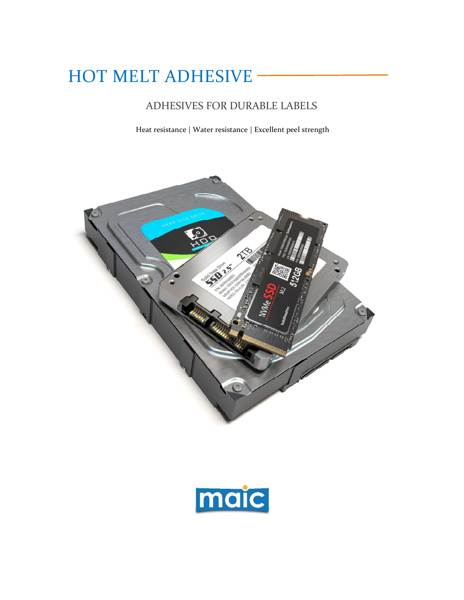# HOT MELT ADHESIVE -

# ADHESIVES FOR DURABLE LABELS

Heat resistance | Water resistance | Excellent peel strength